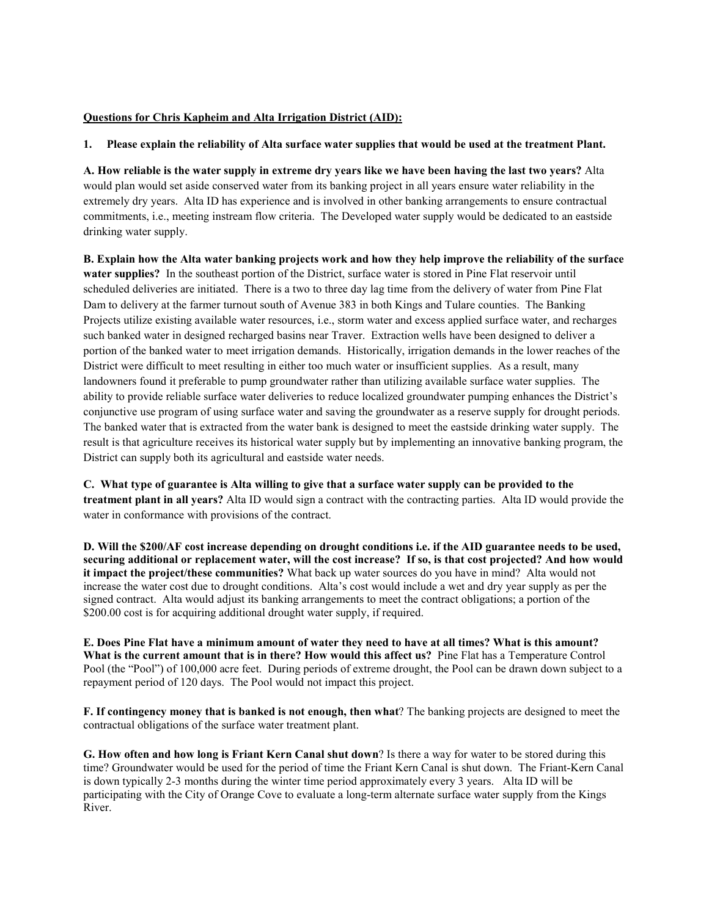## **Questions for Chris Kapheim and Alta Irrigation District (AID):**

## **1. Please explain the reliability of Alta surface water supplies that would be used at the treatment Plant.**

**A. How reliable is the water supply in extreme dry years like we have been having the last two years?** Alta would plan would set aside conserved water from its banking project in all years ensure water reliability in the extremely dry years. Alta ID has experience and is involved in other banking arrangements to ensure contractual commitments, i.e., meeting instream flow criteria. The Developed water supply would be dedicated to an eastside drinking water supply.

**B. Explain how the Alta water banking projects work and how they help improve the reliability of the surface water supplies?** In the southeast portion of the District, surface water is stored in Pine Flat reservoir until scheduled deliveries are initiated. There is a two to three day lag time from the delivery of water from Pine Flat Dam to delivery at the farmer turnout south of Avenue 383 in both Kings and Tulare counties. The Banking Projects utilize existing available water resources, i.e., storm water and excess applied surface water, and recharges such banked water in designed recharged basins near Traver. Extraction wells have been designed to deliver a portion of the banked water to meet irrigation demands. Historically, irrigation demands in the lower reaches of the District were difficult to meet resulting in either too much water or insufficient supplies. As a result, many landowners found it preferable to pump groundwater rather than utilizing available surface water supplies. The ability to provide reliable surface water deliveries to reduce localized groundwater pumping enhances the District's conjunctive use program of using surface water and saving the groundwater as a reserve supply for drought periods. The banked water that is extracted from the water bank is designed to meet the eastside drinking water supply. The result is that agriculture receives its historical water supply but by implementing an innovative banking program, the District can supply both its agricultural and eastside water needs.

**C. What type of guarantee is Alta willing to give that a surface water supply can be provided to the treatment plant in all years?** Alta ID would sign a contract with the contracting parties. Alta ID would provide the water in conformance with provisions of the contract.

**D. Will the \$200/AF cost increase depending on drought conditions i.e. if the AID guarantee needs to be used, securing additional or replacement water, will the cost increase? If so, is that cost projected? And how would it impact the project/these communities?** What back up water sources do you have in mind? Alta would not increase the water cost due to drought conditions. Alta's cost would include a wet and dry year supply as per the signed contract. Alta would adjust its banking arrangements to meet the contract obligations; a portion of the \$200.00 cost is for acquiring additional drought water supply, if required.

**E. Does Pine Flat have a minimum amount of water they need to have at all times? What is this amount? What is the current amount that is in there? How would this affect us?** Pine Flat has a Temperature Control Pool (the "Pool") of 100,000 acre feet. During periods of extreme drought, the Pool can be drawn down subject to a repayment period of 120 days. The Pool would not impact this project.

**F. If contingency money that is banked is not enough, then what**? The banking projects are designed to meet the contractual obligations of the surface water treatment plant.

**G. How often and how long is Friant Kern Canal shut down**? Is there a way for water to be stored during this time? Groundwater would be used for the period of time the Friant Kern Canal is shut down. The Friant-Kern Canal is down typically 2-3 months during the winter time period approximately every 3 years. Alta ID will be participating with the City of Orange Cove to evaluate a long-term alternate surface water supply from the Kings River.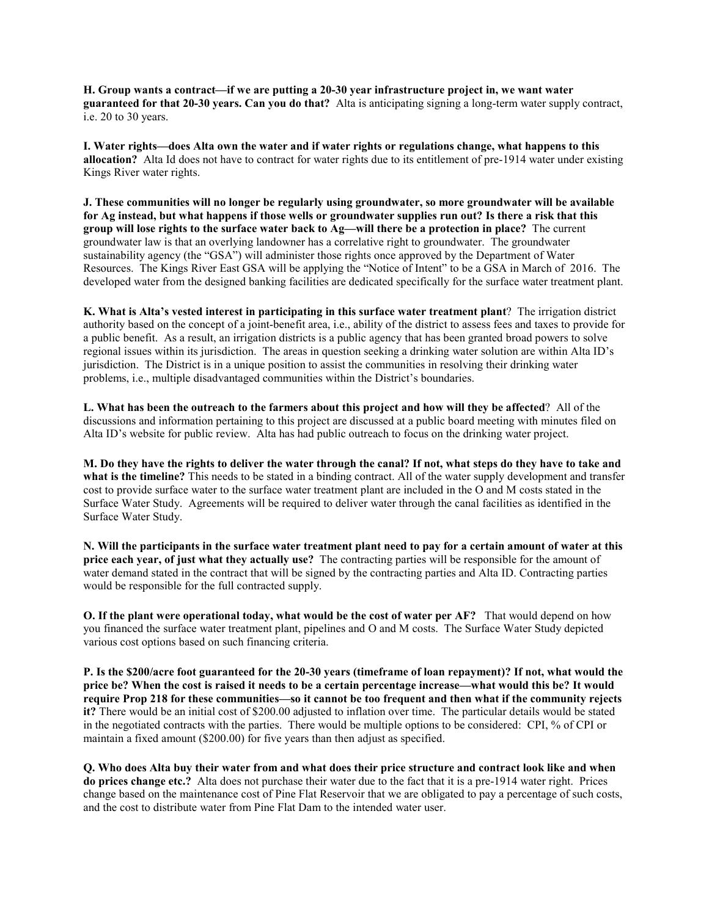**H. Group wants a contract—if we are putting a 20-30 year infrastructure project in, we want water guaranteed for that 20-30 years. Can you do that?** Alta is anticipating signing a long-term water supply contract, i.e. 20 to 30 years.

**I. Water rights—does Alta own the water and if water rights or regulations change, what happens to this allocation?** Alta Id does not have to contract for water rights due to its entitlement of pre-1914 water under existing Kings River water rights.

**J. These communities will no longer be regularly using groundwater, so more groundwater will be available for Ag instead, but what happens if those wells or groundwater supplies run out? Is there a risk that this group will lose rights to the surface water back to Ag—will there be a protection in place?** The current groundwater law is that an overlying landowner has a correlative right to groundwater. The groundwater sustainability agency (the "GSA") will administer those rights once approved by the Department of Water Resources. The Kings River East GSA will be applying the "Notice of Intent" to be a GSA in March of 2016. The developed water from the designed banking facilities are dedicated specifically for the surface water treatment plant.

**K. What is Alta's vested interest in participating in this surface water treatment plant**? The irrigation district authority based on the concept of a joint-benefit area, i.e., ability of the district to assess fees and taxes to provide for a public benefit. As a result, an irrigation districts is a public agency that has been granted broad powers to solve regional issues within its jurisdiction. The areas in question seeking a drinking water solution are within Alta ID's jurisdiction. The District is in a unique position to assist the communities in resolving their drinking water problems, i.e., multiple disadvantaged communities within the District's boundaries.

**L. What has been the outreach to the farmers about this project and how will they be affected**? All of the discussions and information pertaining to this project are discussed at a public board meeting with minutes filed on Alta ID's website for public review. Alta has had public outreach to focus on the drinking water project.

**M. Do they have the rights to deliver the water through the canal? If not, what steps do they have to take and what is the timeline?** This needs to be stated in a binding contract. All of the water supply development and transfer cost to provide surface water to the surface water treatment plant are included in the O and M costs stated in the Surface Water Study. Agreements will be required to deliver water through the canal facilities as identified in the Surface Water Study.

**N. Will the participants in the surface water treatment plant need to pay for a certain amount of water at this price each year, of just what they actually use?** The contracting parties will be responsible for the amount of water demand stated in the contract that will be signed by the contracting parties and Alta ID. Contracting parties would be responsible for the full contracted supply.

**O. If the plant were operational today, what would be the cost of water per AF?** That would depend on how you financed the surface water treatment plant, pipelines and O and M costs. The Surface Water Study depicted various cost options based on such financing criteria.

**P. Is the \$200/acre foot guaranteed for the 20-30 years (timeframe of loan repayment)? If not, what would the price be? When the cost is raised it needs to be a certain percentage increase—what would this be? It would require Prop 218 for these communities—so it cannot be too frequent and then what if the community rejects it?** There would be an initial cost of \$200.00 adjusted to inflation over time. The particular details would be stated in the negotiated contracts with the parties. There would be multiple options to be considered: CPI, % of CPI or maintain a fixed amount (\$200.00) for five years than then adjust as specified.

**Q. Who does Alta buy their water from and what does their price structure and contract look like and when do prices change etc.?** Alta does not purchase their water due to the fact that it is a pre-1914 water right. Prices change based on the maintenance cost of Pine Flat Reservoir that we are obligated to pay a percentage of such costs, and the cost to distribute water from Pine Flat Dam to the intended water user.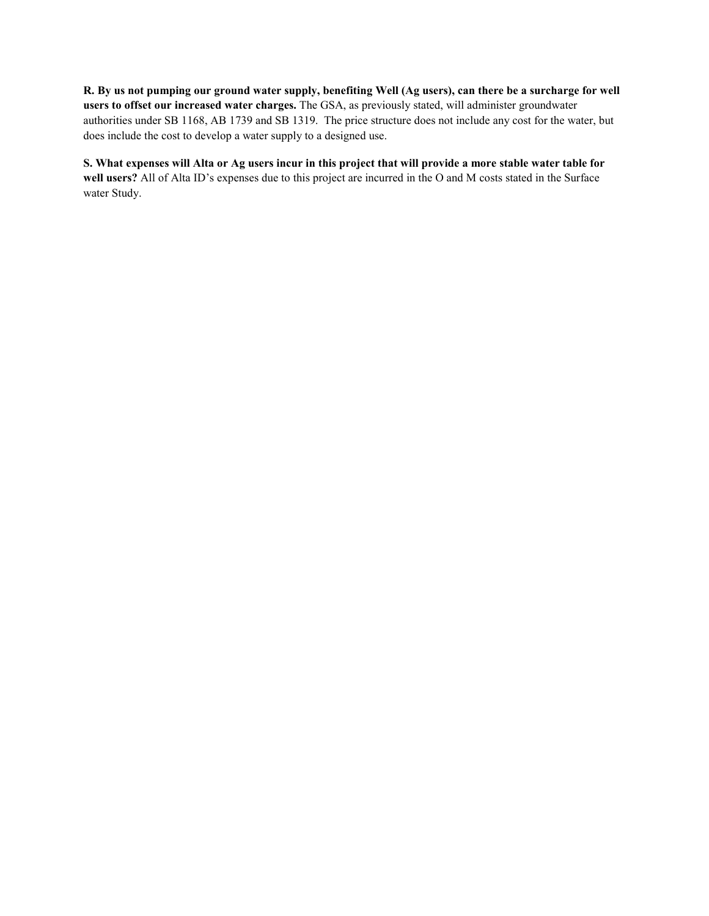**R. By us not pumping our ground water supply, benefiting Well (Ag users), can there be a surcharge for well users to offset our increased water charges.** The GSA, as previously stated, will administer groundwater authorities under SB 1168, AB 1739 and SB 1319. The price structure does not include any cost for the water, but does include the cost to develop a water supply to a designed use.

**S. What expenses will Alta or Ag users incur in this project that will provide a more stable water table for well users?** All of Alta ID's expenses due to this project are incurred in the O and M costs stated in the Surface water Study.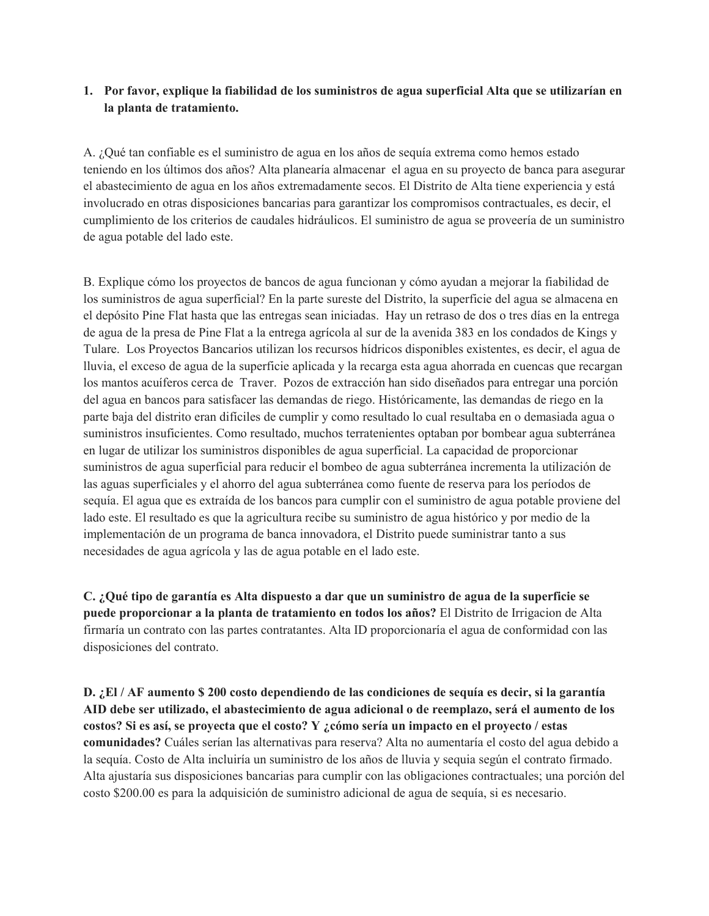## **1. Por favor, explique la fiabilidad de los suministros de agua superficial Alta que se utilizarían en la planta de tratamiento.**

A. ¿Qué tan confiable es el suministro de agua en los años de sequía extrema como hemos estado teniendo en los últimos dos años? Alta planearía almacenar el agua en su proyecto de banca para asegurar el abastecimiento de agua en los años extremadamente secos. El Distrito de Alta tiene experiencia y está involucrado en otras disposiciones bancarias para garantizar los compromisos contractuales, es decir, el cumplimiento de los criterios de caudales hidráulicos. El suministro de agua se proveería de un suministro de agua potable del lado este.

B. Explique cómo los proyectos de bancos de agua funcionan y cómo ayudan a mejorar la fiabilidad de los suministros de agua superficial? En la parte sureste del Distrito, la superficie del agua se almacena en el depósito Pine Flat hasta que las entregas sean iniciadas. Hay un retraso de dos o tres días en la entrega de agua de la presa de Pine Flat a la entrega agrícola al sur de la avenida 383 en los condados de Kings y Tulare. Los Proyectos Bancarios utilizan los recursos hídricos disponibles existentes, es decir, el agua de lluvia, el exceso de agua de la superficie aplicada y la recarga esta agua ahorrada en cuencas que recargan los mantos acuíferos cerca de Traver. Pozos de extracción han sido diseñados para entregar una porción del agua en bancos para satisfacer las demandas de riego. Históricamente, las demandas de riego en la parte baja del distrito eran difíciles de cumplir y como resultado lo cual resultaba en o demasiada agua o suministros insuficientes. Como resultado, muchos terratenientes optaban por bombear agua subterránea en lugar de utilizar los suministros disponibles de agua superficial. La capacidad de proporcionar suministros de agua superficial para reducir el bombeo de agua subterránea incrementa la utilización de las aguas superficiales y el ahorro del agua subterránea como fuente de reserva para los períodos de sequía. El agua que es extraída de los bancos para cumplir con el suministro de agua potable proviene del lado este. El resultado es que la agricultura recibe su suministro de agua histórico y por medio de la implementación de un programa de banca innovadora, el Distrito puede suministrar tanto a sus necesidades de agua agrícola y las de agua potable en el lado este.

**C. ¿Qué tipo de garantía es Alta dispuesto a dar que un suministro de agua de la superficie se puede proporcionar a la planta de tratamiento en todos los años?** El Distrito de Irrigacion de Alta firmaría un contrato con las partes contratantes. Alta ID proporcionaría el agua de conformidad con las disposiciones del contrato.

**D. ¿El / AF aumento \$ 200 costo dependiendo de las condiciones de sequía es decir, si la garantía AID debe ser utilizado, el abastecimiento de agua adicional o de reemplazo, será el aumento de los costos? Si es así, se proyecta que el costo? Y ¿cómo sería un impacto en el proyecto / estas comunidades?** Cuáles serían las alternativas para reserva? Alta no aumentaría el costo del agua debido a la sequía. Costo de Alta incluiría un suministro de los años de lluvia y sequia según el contrato firmado. Alta ajustaría sus disposiciones bancarias para cumplir con las obligaciones contractuales; una porción del costo \$200.00 es para la adquisición de suministro adicional de agua de sequía, si es necesario.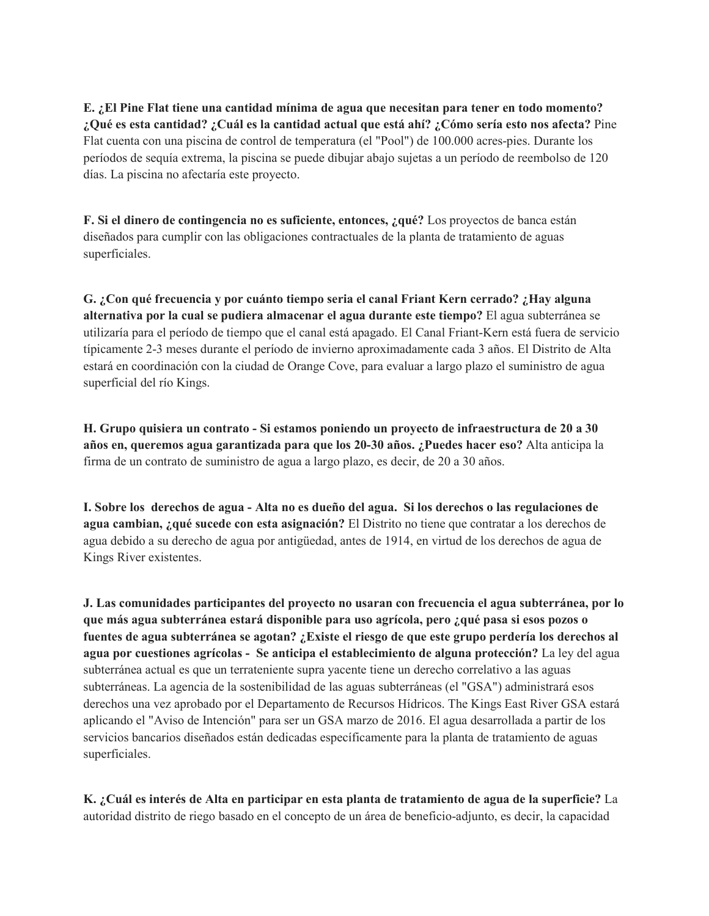**E. ¿El Pine Flat tiene una cantidad mínima de agua que necesitan para tener en todo momento? ¿Qué es esta cantidad? ¿Cuál es la cantidad actual que está ahí? ¿Cómo sería esto nos afecta?** Pine Flat cuenta con una piscina de control de temperatura (el "Pool") de 100.000 acres-pies. Durante los períodos de sequía extrema, la piscina se puede dibujar abajo sujetas a un período de reembolso de 120 días. La piscina no afectaría este proyecto.

**F. Si el dinero de contingencia no es suficiente, entonces, ¿qué?** Los proyectos de banca están diseñados para cumplir con las obligaciones contractuales de la planta de tratamiento de aguas superficiales.

**G. ¿Con qué frecuencia y por cuánto tiempo seria el canal Friant Kern cerrado? ¿Hay alguna alternativa por la cual se pudiera almacenar el agua durante este tiempo?** El agua subterránea se utilizaría para el período de tiempo que el canal está apagado. El Canal Friant-Kern está fuera de servicio típicamente 2-3 meses durante el período de invierno aproximadamente cada 3 años. El Distrito de Alta estará en coordinación con la ciudad de Orange Cove, para evaluar a largo plazo el suministro de agua superficial del río Kings.

**H. Grupo quisiera un contrato - Si estamos poniendo un proyecto de infraestructura de 20 a 30 años en, queremos agua garantizada para que los 20-30 años. ¿Puedes hacer eso?** Alta anticipa la firma de un contrato de suministro de agua a largo plazo, es decir, de 20 a 30 años.

**I. Sobre los derechos de agua - Alta no es dueño del agua. Si los derechos o las regulaciones de agua cambian, ¿qué sucede con esta asignación?** El Distrito no tiene que contratar a los derechos de agua debido a su derecho de agua por antigüedad, antes de 1914, en virtud de los derechos de agua de Kings River existentes.

**J. Las comunidades participantes del proyecto no usaran con frecuencia el agua subterránea, por lo que más agua subterránea estará disponible para uso agrícola, pero ¿qué pasa si esos pozos o fuentes de agua subterránea se agotan? ¿Existe el riesgo de que este grupo perdería los derechos al agua por cuestiones agrícolas - Se anticipa el establecimiento de alguna protección?** La ley del agua subterránea actual es que un terrateniente supra yacente tiene un derecho correlativo a las aguas subterráneas. La agencia de la sostenibilidad de las aguas subterráneas (el "GSA") administrará esos derechos una vez aprobado por el Departamento de Recursos Hídricos. The Kings East River GSA estará aplicando el "Aviso de Intención" para ser un GSA marzo de 2016. El agua desarrollada a partir de los servicios bancarios diseñados están dedicadas específicamente para la planta de tratamiento de aguas superficiales.

**K. ¿Cuál es interés de Alta en participar en esta planta de tratamiento de agua de la superficie?** La autoridad distrito de riego basado en el concepto de un área de beneficio-adjunto, es decir, la capacidad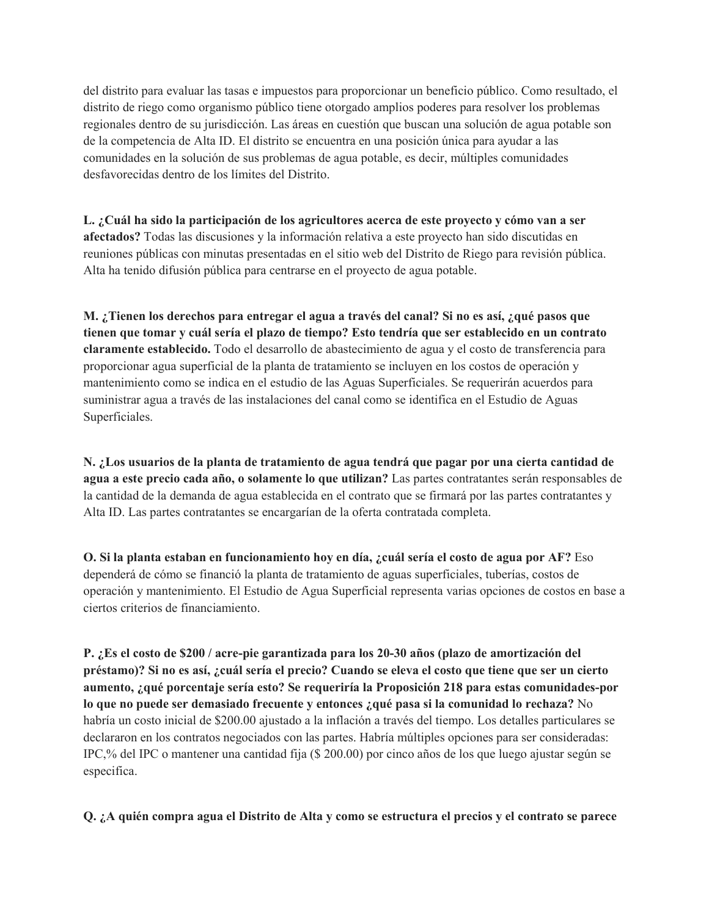del distrito para evaluar las tasas e impuestos para proporcionar un beneficio público. Como resultado, el distrito de riego como organismo público tiene otorgado amplios poderes para resolver los problemas regionales dentro de su jurisdicción. Las áreas en cuestión que buscan una solución de agua potable son de la competencia de Alta ID. El distrito se encuentra en una posición única para ayudar a las comunidades en la solución de sus problemas de agua potable, es decir, múltiples comunidades desfavorecidas dentro de los límites del Distrito.

**L. ¿Cuál ha sido la participación de los agricultores acerca de este proyecto y cómo van a ser afectados?** Todas las discusiones y la información relativa a este proyecto han sido discutidas en reuniones públicas con minutas presentadas en el sitio web del Distrito de Riego para revisión pública. Alta ha tenido difusión pública para centrarse en el proyecto de agua potable.

**M. ¿Tienen los derechos para entregar el agua a través del canal? Si no es así, ¿qué pasos que tienen que tomar y cuál sería el plazo de tiempo? Esto tendría que ser establecido en un contrato claramente establecido.** Todo el desarrollo de abastecimiento de agua y el costo de transferencia para proporcionar agua superficial de la planta de tratamiento se incluyen en los costos de operación y mantenimiento como se indica en el estudio de las Aguas Superficiales. Se requerirán acuerdos para suministrar agua a través de las instalaciones del canal como se identifica en el Estudio de Aguas Superficiales.

**N. ¿Los usuarios de la planta de tratamiento de agua tendrá que pagar por una cierta cantidad de agua a este precio cada año, o solamente lo que utilizan?** Las partes contratantes serán responsables de la cantidad de la demanda de agua establecida en el contrato que se firmará por las partes contratantes y Alta ID. Las partes contratantes se encargarían de la oferta contratada completa.

**O. Si la planta estaban en funcionamiento hoy en día, ¿cuál sería el costo de agua por AF?** Eso dependerá de cómo se financió la planta de tratamiento de aguas superficiales, tuberías, costos de operación y mantenimiento. El Estudio de Agua Superficial representa varias opciones de costos en base a ciertos criterios de financiamiento.

**P. ¿Es el costo de \$200 / acre-pie garantizada para los 20-30 años (plazo de amortización del préstamo)? Si no es así, ¿cuál sería el precio? Cuando se eleva el costo que tiene que ser un cierto aumento, ¿qué porcentaje sería esto? Se requeriría la Proposición 218 para estas comunidades-por lo que no puede ser demasiado frecuente y entonces ¿qué pasa si la comunidad lo rechaza?** No habría un costo inicial de \$200.00 ajustado a la inflación a través del tiempo. Los detalles particulares se declararon en los contratos negociados con las partes. Habría múltiples opciones para ser consideradas: IPC,% del IPC o mantener una cantidad fija (\$ 200.00) por cinco años de los que luego ajustar según se especifica.

**Q. ¿A quién compra agua el Distrito de Alta y como se estructura el precios y el contrato se parece**